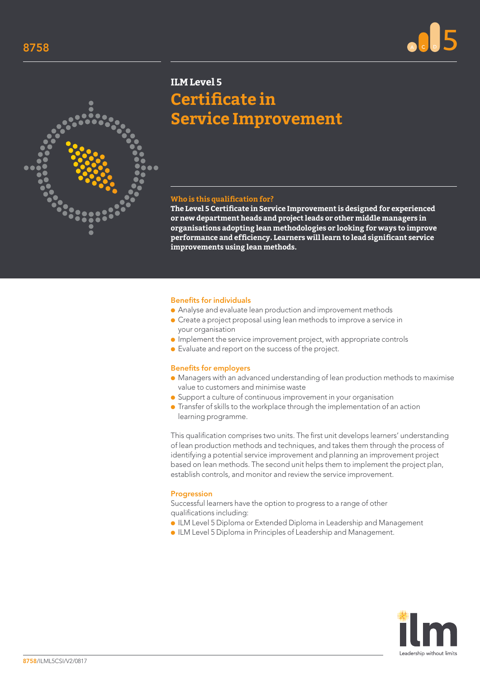



# **ILM Level 5 Certificate in Service Improvement**

## **Who is this qualification for?**

**The Level 5 Certificate in Service Improvement is designed for experienced or new department heads and project leads or other middle managers in organisations adopting lean methodologies or looking for ways to improve performance and efficiency. Learners will learn to lead significant service improvements using lean methods.**

#### Benefits for individuals

- Analyse and evaluate lean production and improvement methods
- Create a project proposal using lean methods to improve a service in your organisation
- Implement the service improvement project, with appropriate controls
- Evaluate and report on the success of the project.

#### Benefits for employers

- Managers with an advanced understanding of lean production methods to maximise value to customers and minimise waste
- Support a culture of continuous improvement in your organisation
- Transfer of skills to the workplace through the implementation of an action learning programme.

This qualification comprises two units. The first unit develops learners' understanding of lean production methods and techniques, and takes them through the process of identifying a potential service improvement and planning an improvement project based on lean methods. The second unit helps them to implement the project plan, establish controls, and monitor and review the service improvement.

### Progression

Successful learners have the option to progress to a range of other qualifications including:

- ILM Level 5 Diploma or Extended Diploma in Leadership and Management
- ILM Level 5 Diploma in Principles of Leadership and Management.